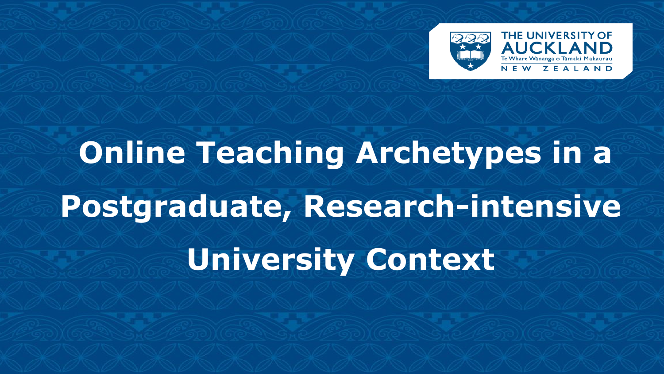

# **Online Teaching Archetypes in a Postgraduate, Research-intensive University Context**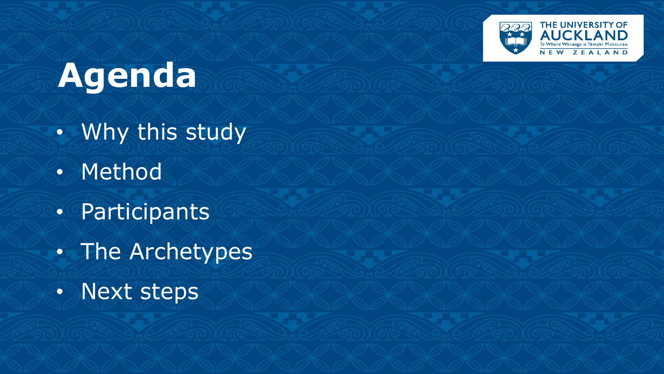

#### **Agenda**

- Why this study
- Method
- Participants
- The Archetypes
- Next steps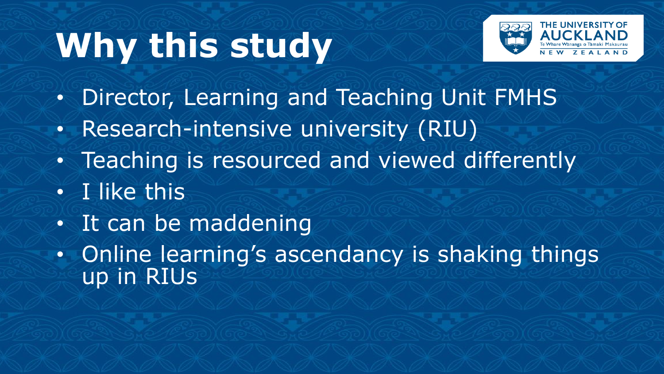## **Why this study**



- Director, Learning and Teaching Unit FMHS
- Research-intensive university (RIU)
- Teaching is resourced and viewed differently
- I like this
- It can be maddening
- Online learning's ascendancy is shaking things up in RIUs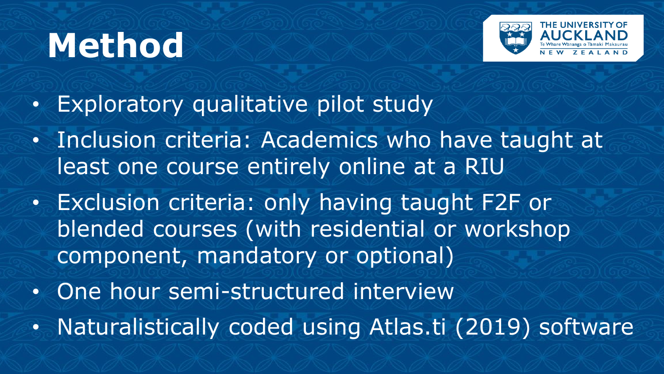## **Method**



- Exploratory qualitative pilot study
- Inclusion criteria: Academics who have taught at least one course entirely online at a RIU
- Exclusion criteria: only having taught F2F or blended courses (with residential or workshop component, mandatory or optional)
- One hour semi-structured interview
- Naturalistically coded using Atlas.ti (2019) software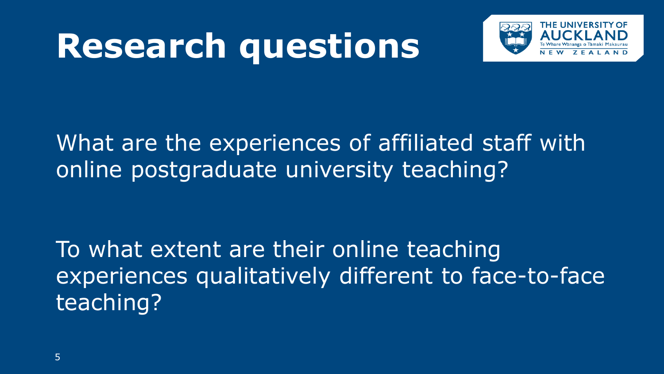## **Research questions**



#### What are the experiences of affiliated staff with online postgraduate university teaching?

To what extent are their online teaching experiences qualitatively different to face-to-face teaching?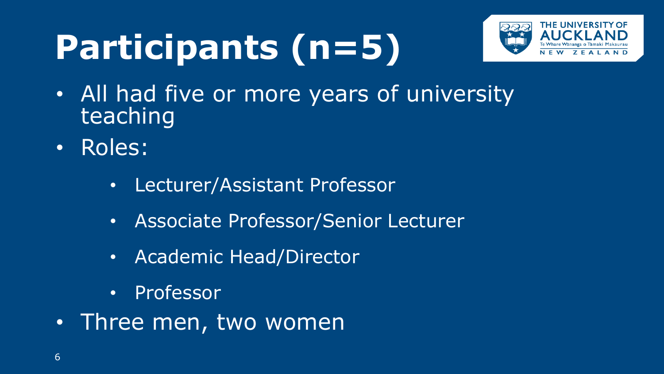## **Participants (n=5)**



- All had five or more years of university teaching
- Roles:
	- Lecturer/Assistant Professor
	- Associate Professor/Senior Lecturer
	- Academic Head/Director
	- Professor
- Three men, two women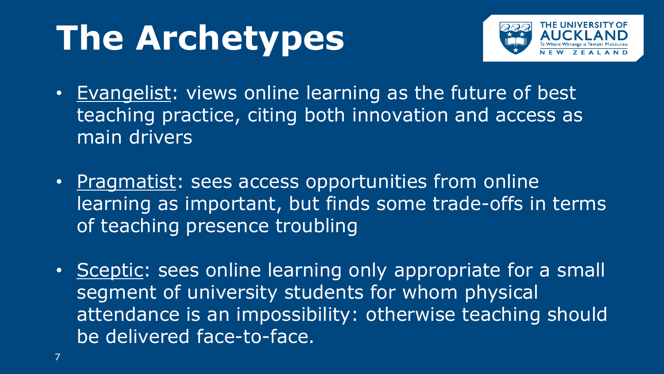## **The Archetypes**



- Evangelist: views online learning as the future of best teaching practice, citing both innovation and access as main drivers
- Pragmatist: sees access opportunities from online learning as important, but finds some trade-offs in terms of teaching presence troubling
- Sceptic: sees online learning only appropriate for a small segment of university students for whom physical attendance is an impossibility: otherwise teaching should be delivered face-to-face.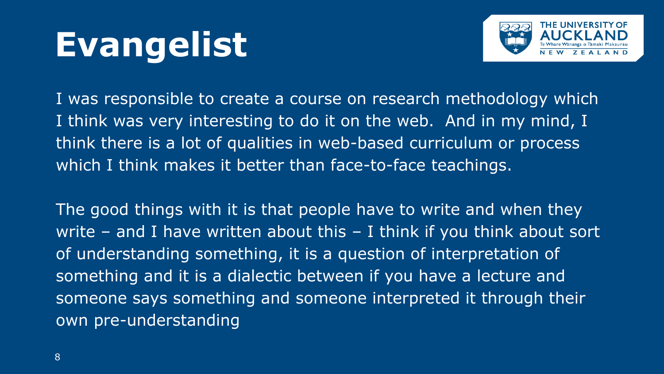#### **Evangelist**



I was responsible to create a course on research methodology which I think was very interesting to do it on the web. And in my mind, I think there is a lot of qualities in web-based curriculum or process which I think makes it better than face-to-face teachings.

The good things with it is that people have to write and when they write – and I have written about this – I think if you think about sort of understanding something, it is a question of interpretation of something and it is a dialectic between if you have a lecture and someone says something and someone interpreted it through their own pre-understanding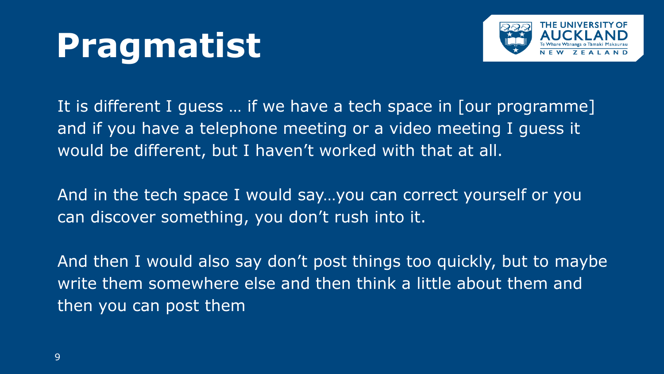## **Pragmatist**



It is different I guess … if we have a tech space in [our programme] and if you have a telephone meeting or a video meeting I guess it would be different, but I haven't worked with that at all.

And in the tech space I would say…you can correct yourself or you can discover something, you don't rush into it.

And then I would also say don't post things too quickly, but to maybe write them somewhere else and then think a little about them and then you can post them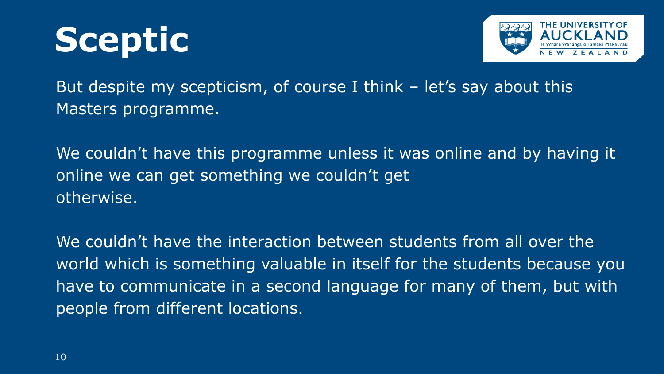



But despite my scepticism, of course I think  $-$  let's say about this Masters programme.

We couldn't have this programme unless it was online and by having it online we can get something we couldn't get otherwise.

We couldn't have the interaction between students from all over the world which is something valuable in itself for the students because you have to communicate in a second language for many of them, but with people from different locations.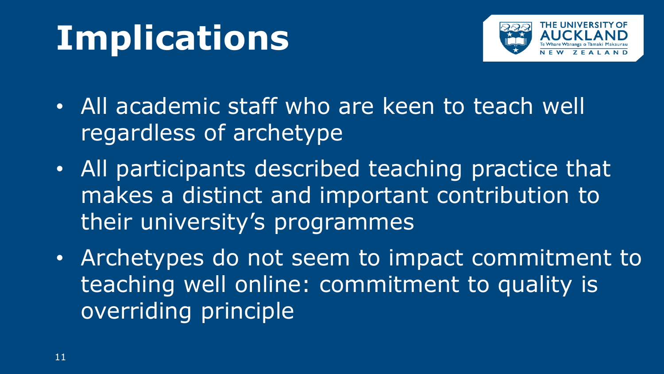## **Implications**



- All academic staff who are keen to teach well regardless of archetype
- All participants described teaching practice that makes a distinct and important contribution to their university's programmes
- Archetypes do not seem to impact commitment to teaching well online: commitment to quality is overriding principle